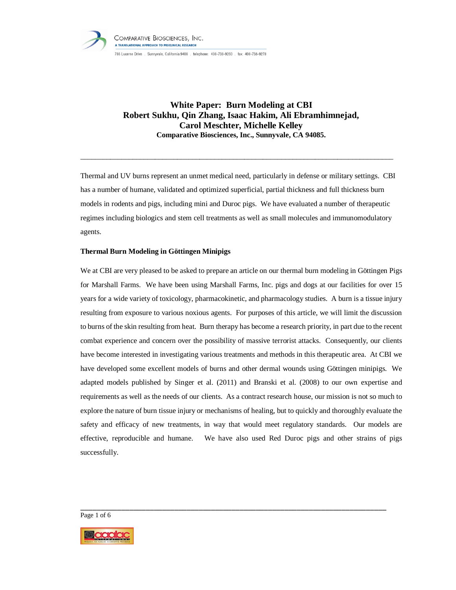

# **White Paper: Burn Modeling at CBI Robert Sukhu, Qin Zhang, Isaac Hakim, Ali Ebramhimnejad, Carol Meschter, Michelle Kelley Comparative Biosciences, Inc., Sunnyvale, CA 94085.**

Thermal and UV burns represent an unmet medical need, particularly in defense or military settings. CBI has a number of humane, validated and optimized superficial, partial thickness and full thickness burn models in rodents and pigs, including mini and Duroc pigs. We have evaluated a number of therapeutic regimes including biologics and stem cell treatments as well as small molecules and immunomodulatory agents.

\_\_\_\_\_\_\_\_\_\_\_\_\_\_\_\_\_\_\_\_\_\_\_\_\_\_\_\_\_\_\_\_\_\_\_\_\_\_\_\_\_\_\_\_\_\_\_\_\_\_\_\_\_\_\_\_\_\_\_\_\_\_\_\_\_\_\_\_\_\_\_\_\_\_\_\_\_\_\_\_\_\_\_\_

# **Thermal Burn Modeling in Göttingen Minipigs**

We at CBI are very pleased to be asked to prepare an article on our thermal burn modeling in Göttingen Pigs for Marshall Farms. We have been using Marshall Farms, Inc. pigs and dogs at our facilities for over 15 years for a wide variety of toxicology, pharmacokinetic, and pharmacology studies. A burn is a tissue injury resulting from exposure to various noxious agents. For purposes of this article, we will limit the discussion to burns of the skin resulting from heat. Burn therapy has become a research priority, in part due to the recent combat experience and concern over the possibility of massive terrorist attacks. Consequently, our clients have become interested in investigating various treatments and methods in this therapeutic area. At CBI we have developed some excellent models of burns and other dermal wounds using Göttingen minipigs. We adapted models published by Singer et al. (2011) and Branski et al. (2008) to our own expertise and requirements as well as the needs of our clients. As a contract research house, our mission is not so much to explore the nature of burn tissue injury or mechanisms of healing, but to quickly and thoroughly evaluate the safety and efficacy of new treatments, in way that would meet regulatory standards. Our models are effective, reproducible and humane. We have also used Red Duroc pigs and other strains of pigs successfully.

\_\_\_\_\_\_\_\_\_\_\_\_\_\_\_\_\_\_\_\_\_\_\_\_\_\_\_\_\_\_\_\_\_\_\_\_\_\_\_\_\_\_\_\_\_\_\_\_\_\_\_\_\_\_\_\_\_\_\_\_\_\_\_\_\_\_\_\_\_\_\_\_\_\_\_

Page 1 of 6

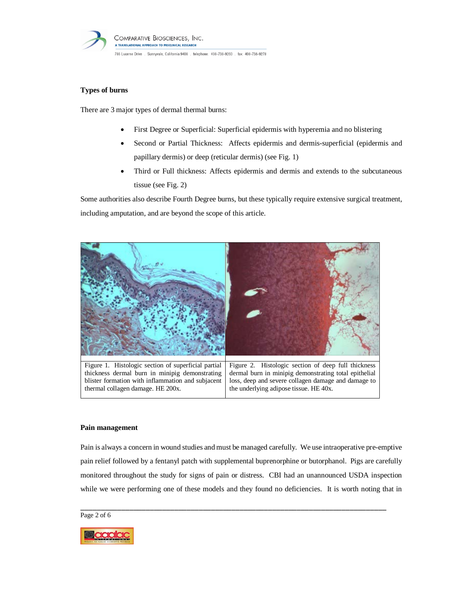

# **Types of burns**

There are 3 major types of dermal thermal burns:

- First Degree or Superficial: Superficial epidermis with hyperemia and no blistering
- Second or Partial Thickness: Affects epidermis and dermis-superficial (epidermis and papillary dermis) or deep (reticular dermis) (see Fig. 1)
- Third or Full thickness: Affects epidermis and dermis and extends to the subcutaneous tissue (see Fig. 2)

Some authorities also describe Fourth Degree burns, but these typically require extensive surgical treatment, including amputation, and are beyond the scope of this article.



# blister formation with inflammation and subjacent thermal collagen damage. HE 200x.

#### **Pain management**

Pain is always a concern in wound studies and must be managed carefully. We use intraoperative pre-emptive pain relief followed by a fentanyl patch with supplemental buprenorphine or butorphanol. Pigs are carefully monitored throughout the study for signs of pain or distress. CBI had an unannounced USDA inspection while we were performing one of these models and they found no deficiencies. It is worth noting that in

loss, deep and severe collagen damage and damage to

the underlying adipose tissue. HE 40x.

\_\_\_\_\_\_\_\_\_\_\_\_\_\_\_\_\_\_\_\_\_\_\_\_\_\_\_\_\_\_\_\_\_\_\_\_\_\_\_\_\_\_\_\_\_\_\_\_\_\_\_\_\_\_\_\_\_\_\_\_\_\_\_\_\_\_\_\_\_\_\_\_\_\_\_

Page 2 of 6

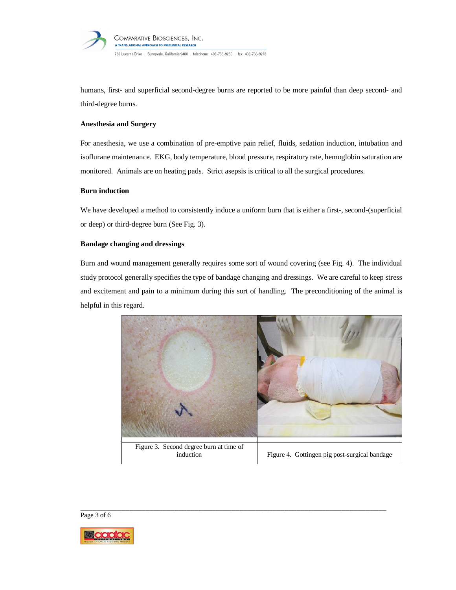

humans, first- and superficial second-degree burns are reported to be more painful than deep second- and third-degree burns.

## **Anesthesia and Surgery**

For anesthesia, we use a combination of pre-emptive pain relief, fluids, sedation induction, intubation and isoflurane maintenance. EKG, body temperature, blood pressure, respiratory rate, hemoglobin saturation are monitored. Animals are on heating pads. Strict asepsis is critical to all the surgical procedures.

#### **Burn induction**

We have developed a method to consistently induce a uniform burn that is either a first-, second-(superficial or deep) or third-degree burn (See Fig. 3).

# **Bandage changing and dressings**

Burn and wound management generally requires some sort of wound covering (see Fig. 4). The individual study protocol generally specifies the type of bandage changing and dressings. We are careful to keep stress and excitement and pain to a minimum during this sort of handling. The preconditioning of the animal is helpful in this regard.





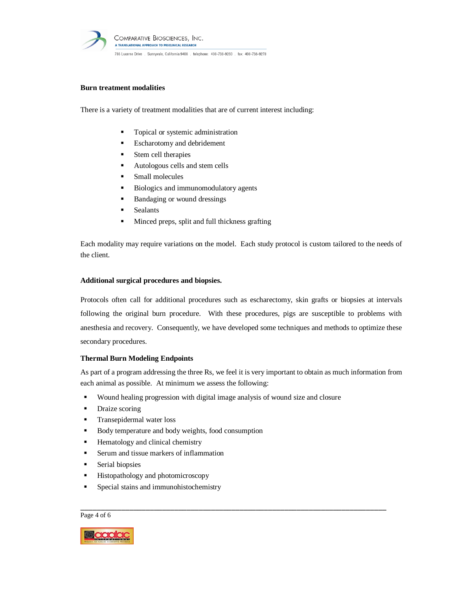

## **Burn treatment modalities**

There is a variety of treatment modalities that are of current interest including:

- Topical or systemic administration
- **Escharotomy and debridement**
- **Stem cell therapies**
- **Autologous cells and stem cells**
- **Small molecules**
- Biologics and immunomodulatory agents
- Bandaging or wound dressings
- **Sealants**
- Minced preps, split and full thickness grafting

Each modality may require variations on the model. Each study protocol is custom tailored to the needs of the client.

#### **Additional surgical procedures and biopsies.**

Protocols often call for additional procedures such as escharectomy, skin grafts or biopsies at intervals following the original burn procedure. With these procedures, pigs are susceptible to problems with anesthesia and recovery. Consequently, we have developed some techniques and methods to optimize these secondary procedures.

#### **Thermal Burn Modeling Endpoints**

As part of a program addressing the three Rs, we feel it is very important to obtain as much information from each animal as possible. At minimum we assess the following:

\_\_\_\_\_\_\_\_\_\_\_\_\_\_\_\_\_\_\_\_\_\_\_\_\_\_\_\_\_\_\_\_\_\_\_\_\_\_\_\_\_\_\_\_\_\_\_\_\_\_\_\_\_\_\_\_\_\_\_\_\_\_\_\_\_\_\_\_\_\_\_\_\_\_\_

- Wound healing progression with digital image analysis of wound size and closure
- Draize scoring
- **Transepidermal water loss**
- Body temperature and body weights, food consumption
- **Hematology and clinical chemistry**
- Serum and tissue markers of inflammation
- Serial biopsies
- **Histopathology and photomicroscopy**
- Special stains and immunohistochemistry

Page 4 of 6

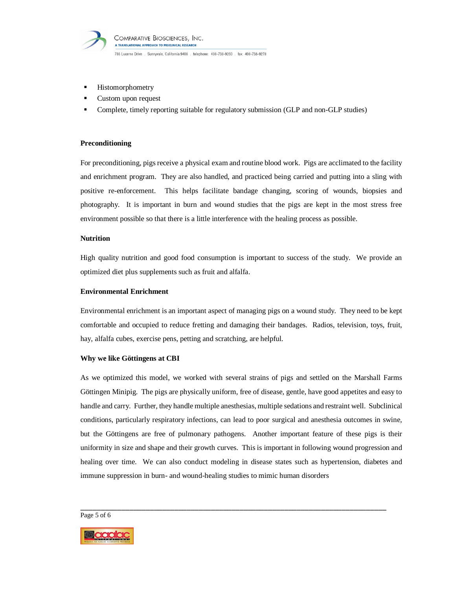

- **Histomorphometry**
- Custom upon request
- Complete, timely reporting suitable for regulatory submission (GLP and non-GLP studies)

#### **Preconditioning**

For preconditioning, pigs receive a physical exam and routine blood work. Pigs are acclimated to the facility and enrichment program. They are also handled, and practiced being carried and putting into a sling with positive re-enforcement. This helps facilitate bandage changing, scoring of wounds, biopsies and photography. It is important in burn and wound studies that the pigs are kept in the most stress free environment possible so that there is a little interference with the healing process as possible.

## **Nutrition**

High quality nutrition and good food consumption is important to success of the study. We provide an optimized diet plus supplements such as fruit and alfalfa.

#### **Environmental Enrichment**

Environmental enrichment is an important aspect of managing pigs on a wound study. They need to be kept comfortable and occupied to reduce fretting and damaging their bandages. Radios, television, toys, fruit, hay, alfalfa cubes, exercise pens, petting and scratching, are helpful.

#### **Why we like Göttingens at CBI**

As we optimized this model, we worked with several strains of pigs and settled on the Marshall Farms Göttingen Minipig. The pigs are physically uniform, free of disease, gentle, have good appetites and easy to handle and carry. Further, they handle multiple anesthesias, multiple sedations and restraint well. Subclinical conditions, particularly respiratory infections, can lead to poor surgical and anesthesia outcomes in swine, but the Göttingens are free of pulmonary pathogens. Another important feature of these pigs is their uniformity in size and shape and their growth curves. This is important in following wound progression and healing over time. We can also conduct modeling in disease states such as hypertension, diabetes and immune suppression in burn- and wound-healing studies to mimic human disorders

\_\_\_\_\_\_\_\_\_\_\_\_\_\_\_\_\_\_\_\_\_\_\_\_\_\_\_\_\_\_\_\_\_\_\_\_\_\_\_\_\_\_\_\_\_\_\_\_\_\_\_\_\_\_\_\_\_\_\_\_\_\_\_\_\_\_\_\_\_\_\_\_\_\_\_

Page 5 of 6